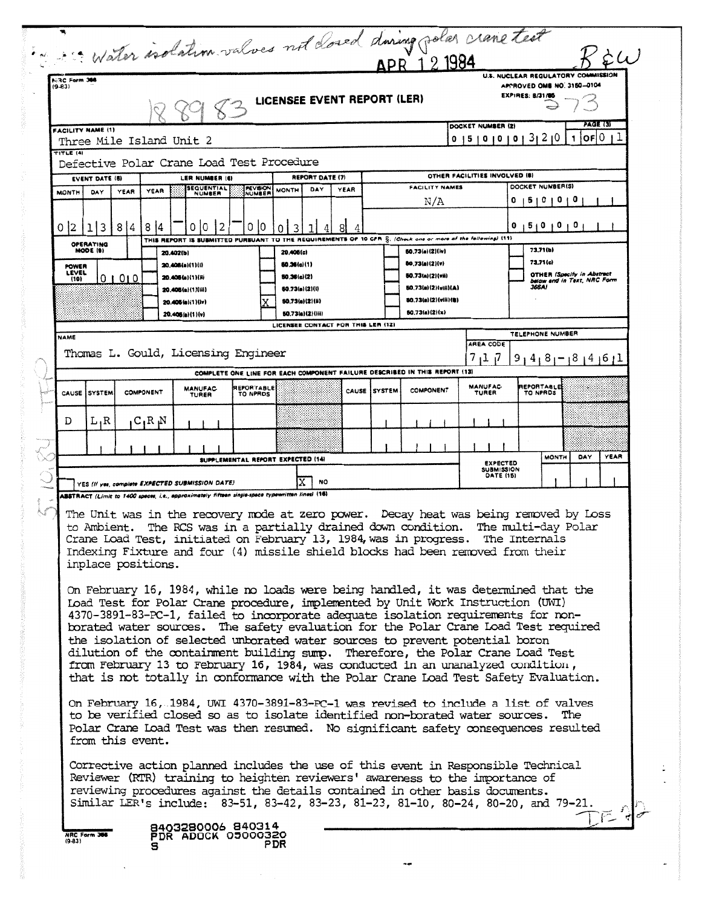| Mater isolation values not doned during polar crane text<br>APR 121984<br>U.S. NUCLEAR REGULATORY COMMISSION<br><b>A-RC Form 366</b><br>$(9 - 83)$<br>APPROVED OMB NO. 3150-0104<br><b>EXPIRES: 8/31/85</b><br>LICENSEE EVENT REPORT (LER)<br>PAGE (3)<br>DOCKET NUMBER (2)<br><b>FACILITY NAME (1)</b><br>OF 0<br>0   5   0   0   0   3   2   0<br>1<br>Three Mile Island Unit 2<br>TITLE (4)<br>Defective Polar Crane Load Test Procedure<br>OTHER FACILITIES INVOLVED (8)<br>REPORT DATE (7)<br><b>EVENT DATE (5)</b><br>LER NUMBER (6)<br>DOCKET NUMBER(S)<br><b>FACILITY NAMES</b><br><b>SEQUENTIAL</b><br>REVISION<br>YEAR<br>DAY<br><b>MONTH</b><br>YEAR<br><b>MONTH</b><br>DAY<br><b>YEAR</b><br>NUMBER<br>NUMBER<br>N/A<br>50000<br>113<br>814<br>814<br>0 10<br>2<br>0<br>10<br>15101010<br>3<br>o<br>0<br>THIS REPORT IS SUSMITTED PURSUANT TO THE REQUIREMENTS OF 10 CFR S: (Check one or more of the following) (11)<br>OPERATING<br>MODE (9)<br>73.71(b)<br>50.73(a)(2)(iv)<br>20.402(b)<br>20,406(c)<br>73.71(c)<br>50.73(a)(2)(v)<br>60.36(c){1}<br>20.406(a)(1)(i)<br>POWER<br>LEVEL<br>OTHER (Specify in Abstract<br>50.73(a)(2)(vii)<br>50.36(c)(2)<br>20.406(a)(1)(H)<br>01010<br>(10)<br>below and in Text, NRC Form<br>80.73(a)(2)(vill)(A)<br>366A)<br>60.73(a)(2)(i)<br>20.406(a)(1)(iii)<br>80,73(a)(2)(viii)(B)<br>50.73(a)(2)(li)<br>20.406(a)(1)(lv)<br>50.73(a)(2)(x)<br>50.73(a)(2)((ii)<br>20.405(a)(1)(v)<br>LICENSEE CONTACT FOR THIS LER (12)<br>TELEPHONE NUMBER<br>AREA CODE<br>Thomas L. Gould, Licensing Engineer<br>7174<br>$9, 4, 8, -18, 4, 6, 1$<br>COMPLETE ONE LINE FOR EACH COMPONENT FAILURE DESCRIBED IN THIS REPORT (13)<br><b>MANUFAC-</b><br>REPORTABLE<br>REPORTABLE<br><b>MANUFAC</b><br><b>COMPONENT</b><br>CAUSE <i>SYSTEM</i><br>COMPONENT<br>CAUSE <i>SYSTEM</i><br>TURER<br>TO NPRDS<br>TO NPRDS<br>TURER<br>L,R<br>$C_1R_1N$<br>D<br>YEAR<br><b>MONTH</b><br>DAY<br>SUPPLEMENTAL REPORT EXPECTED (14)<br><b>EXPECTED</b><br><b>SUBMISSION</b><br><b>DATE (15)</b><br><b>NO</b><br>YES (If yes, complete EXPECTED SUBMISSION DATE)<br>ABSTRACT (Limit to 1400 speces, i.e., approximately fifteen single-spece typewritten lines) (16)<br>The Unit was in the recovery mode at zero power. Decay heat was being removed by Loss<br>to Ambient. The RCS was in a partially drained down condition.<br>The multi-day Polar<br>Crane Load Test, initiated on February 13, 1984, was in progress. The Internals<br>Indexing Fixture and four (4) missile shield blocks had been removed from their<br>inplace positions.<br>On February 16, 1984, while no loads were being handled, it was determined that the<br>Load Test for Polar Crane procedure, implemented by Unit Work Instruction (UWI)<br>4370-3891-83-PC-1, failed to incorporate adequate isolation requirements for non-<br>borated water sources. The safety evaluation for the Polar Crane Load Test required<br>the isolation of selected unborated water sources to prevent potential boron<br>dilution of the containment building sump. Therefore, the Polar Crane Load Test<br>from February 13 to February 16, 1984, was conducted in an unanalyzed condition,<br>that is not totally in conformance with the Polar Crane Load Test Safety Evaluation.<br>On February 16, 1984, UWI 4370-3891-83-PC-1 was revised to include a list of valves<br>to be verified closed so as to isolate identified non-borated water sources.<br>The<br>Polar Crane Load Test was then resumed. No significant safety consequences resulted<br>from this event.<br>Corrective action planned includes the use of this event in Responsible Technical<br>Reviewer (RTR) training to heighten reviewers' awareness to the importance of<br>reviewing procedures against the details contained in other basis documents.<br>Similar LER's include: 83-51, 83-42, 83-23, 81-23, 81-10, 80-24, 80-20, and 79-21.<br>8403280006 840314<br>NRC Form 30<br>PDR ADOCK 05000320<br>$(9 - 83)$<br>PDR<br>s |             |  |  |  |  |  |  |  |  |  |  |  |  |
|-------------------------------------------------------------------------------------------------------------------------------------------------------------------------------------------------------------------------------------------------------------------------------------------------------------------------------------------------------------------------------------------------------------------------------------------------------------------------------------------------------------------------------------------------------------------------------------------------------------------------------------------------------------------------------------------------------------------------------------------------------------------------------------------------------------------------------------------------------------------------------------------------------------------------------------------------------------------------------------------------------------------------------------------------------------------------------------------------------------------------------------------------------------------------------------------------------------------------------------------------------------------------------------------------------------------------------------------------------------------------------------------------------------------------------------------------------------------------------------------------------------------------------------------------------------------------------------------------------------------------------------------------------------------------------------------------------------------------------------------------------------------------------------------------------------------------------------------------------------------------------------------------------------------------------------------------------------------------------------------------------------------------------------------------------------------------------------------------------------------------------------------------------------------------------------------------------------------------------------------------------------------------------------------------------------------------------------------------------------------------------------------------------------------------------------------------------------------------------------------------------------------------------------------------------------------------------------------------------------------------------------------------------------------------------------------------------------------------------------------------------------------------------------------------------------------------------------------------------------------------------------------------------------------------------------------------------------------------------------------------------------------------------------------------------------------------------------------------------------------------------------------------------------------------------------------------------------------------------------------------------------------------------------------------------------------------------------------------------------------------------------------------------------------------------------------------------------------------------------------------------------------------------------------------------------------------------------------------------------------------------------------------------------------------------------------------------------------------------------------------------------------------------------------------------------------------------------------------------------------------------------------------------------------------------------------------------------------------------------------------------------|-------------|--|--|--|--|--|--|--|--|--|--|--|--|
|                                                                                                                                                                                                                                                                                                                                                                                                                                                                                                                                                                                                                                                                                                                                                                                                                                                                                                                                                                                                                                                                                                                                                                                                                                                                                                                                                                                                                                                                                                                                                                                                                                                                                                                                                                                                                                                                                                                                                                                                                                                                                                                                                                                                                                                                                                                                                                                                                                                                                                                                                                                                                                                                                                                                                                                                                                                                                                                                                                                                                                                                                                                                                                                                                                                                                                                                                                                                                                                                                                                                                                                                                                                                                                                                                                                                                                                                                                                                                                                                             |             |  |  |  |  |  |  |  |  |  |  |  |  |
|                                                                                                                                                                                                                                                                                                                                                                                                                                                                                                                                                                                                                                                                                                                                                                                                                                                                                                                                                                                                                                                                                                                                                                                                                                                                                                                                                                                                                                                                                                                                                                                                                                                                                                                                                                                                                                                                                                                                                                                                                                                                                                                                                                                                                                                                                                                                                                                                                                                                                                                                                                                                                                                                                                                                                                                                                                                                                                                                                                                                                                                                                                                                                                                                                                                                                                                                                                                                                                                                                                                                                                                                                                                                                                                                                                                                                                                                                                                                                                                                             |             |  |  |  |  |  |  |  |  |  |  |  |  |
|                                                                                                                                                                                                                                                                                                                                                                                                                                                                                                                                                                                                                                                                                                                                                                                                                                                                                                                                                                                                                                                                                                                                                                                                                                                                                                                                                                                                                                                                                                                                                                                                                                                                                                                                                                                                                                                                                                                                                                                                                                                                                                                                                                                                                                                                                                                                                                                                                                                                                                                                                                                                                                                                                                                                                                                                                                                                                                                                                                                                                                                                                                                                                                                                                                                                                                                                                                                                                                                                                                                                                                                                                                                                                                                                                                                                                                                                                                                                                                                                             |             |  |  |  |  |  |  |  |  |  |  |  |  |
|                                                                                                                                                                                                                                                                                                                                                                                                                                                                                                                                                                                                                                                                                                                                                                                                                                                                                                                                                                                                                                                                                                                                                                                                                                                                                                                                                                                                                                                                                                                                                                                                                                                                                                                                                                                                                                                                                                                                                                                                                                                                                                                                                                                                                                                                                                                                                                                                                                                                                                                                                                                                                                                                                                                                                                                                                                                                                                                                                                                                                                                                                                                                                                                                                                                                                                                                                                                                                                                                                                                                                                                                                                                                                                                                                                                                                                                                                                                                                                                                             |             |  |  |  |  |  |  |  |  |  |  |  |  |
|                                                                                                                                                                                                                                                                                                                                                                                                                                                                                                                                                                                                                                                                                                                                                                                                                                                                                                                                                                                                                                                                                                                                                                                                                                                                                                                                                                                                                                                                                                                                                                                                                                                                                                                                                                                                                                                                                                                                                                                                                                                                                                                                                                                                                                                                                                                                                                                                                                                                                                                                                                                                                                                                                                                                                                                                                                                                                                                                                                                                                                                                                                                                                                                                                                                                                                                                                                                                                                                                                                                                                                                                                                                                                                                                                                                                                                                                                                                                                                                                             |             |  |  |  |  |  |  |  |  |  |  |  |  |
|                                                                                                                                                                                                                                                                                                                                                                                                                                                                                                                                                                                                                                                                                                                                                                                                                                                                                                                                                                                                                                                                                                                                                                                                                                                                                                                                                                                                                                                                                                                                                                                                                                                                                                                                                                                                                                                                                                                                                                                                                                                                                                                                                                                                                                                                                                                                                                                                                                                                                                                                                                                                                                                                                                                                                                                                                                                                                                                                                                                                                                                                                                                                                                                                                                                                                                                                                                                                                                                                                                                                                                                                                                                                                                                                                                                                                                                                                                                                                                                                             |             |  |  |  |  |  |  |  |  |  |  |  |  |
|                                                                                                                                                                                                                                                                                                                                                                                                                                                                                                                                                                                                                                                                                                                                                                                                                                                                                                                                                                                                                                                                                                                                                                                                                                                                                                                                                                                                                                                                                                                                                                                                                                                                                                                                                                                                                                                                                                                                                                                                                                                                                                                                                                                                                                                                                                                                                                                                                                                                                                                                                                                                                                                                                                                                                                                                                                                                                                                                                                                                                                                                                                                                                                                                                                                                                                                                                                                                                                                                                                                                                                                                                                                                                                                                                                                                                                                                                                                                                                                                             | 0 2         |  |  |  |  |  |  |  |  |  |  |  |  |
|                                                                                                                                                                                                                                                                                                                                                                                                                                                                                                                                                                                                                                                                                                                                                                                                                                                                                                                                                                                                                                                                                                                                                                                                                                                                                                                                                                                                                                                                                                                                                                                                                                                                                                                                                                                                                                                                                                                                                                                                                                                                                                                                                                                                                                                                                                                                                                                                                                                                                                                                                                                                                                                                                                                                                                                                                                                                                                                                                                                                                                                                                                                                                                                                                                                                                                                                                                                                                                                                                                                                                                                                                                                                                                                                                                                                                                                                                                                                                                                                             |             |  |  |  |  |  |  |  |  |  |  |  |  |
|                                                                                                                                                                                                                                                                                                                                                                                                                                                                                                                                                                                                                                                                                                                                                                                                                                                                                                                                                                                                                                                                                                                                                                                                                                                                                                                                                                                                                                                                                                                                                                                                                                                                                                                                                                                                                                                                                                                                                                                                                                                                                                                                                                                                                                                                                                                                                                                                                                                                                                                                                                                                                                                                                                                                                                                                                                                                                                                                                                                                                                                                                                                                                                                                                                                                                                                                                                                                                                                                                                                                                                                                                                                                                                                                                                                                                                                                                                                                                                                                             |             |  |  |  |  |  |  |  |  |  |  |  |  |
|                                                                                                                                                                                                                                                                                                                                                                                                                                                                                                                                                                                                                                                                                                                                                                                                                                                                                                                                                                                                                                                                                                                                                                                                                                                                                                                                                                                                                                                                                                                                                                                                                                                                                                                                                                                                                                                                                                                                                                                                                                                                                                                                                                                                                                                                                                                                                                                                                                                                                                                                                                                                                                                                                                                                                                                                                                                                                                                                                                                                                                                                                                                                                                                                                                                                                                                                                                                                                                                                                                                                                                                                                                                                                                                                                                                                                                                                                                                                                                                                             |             |  |  |  |  |  |  |  |  |  |  |  |  |
|                                                                                                                                                                                                                                                                                                                                                                                                                                                                                                                                                                                                                                                                                                                                                                                                                                                                                                                                                                                                                                                                                                                                                                                                                                                                                                                                                                                                                                                                                                                                                                                                                                                                                                                                                                                                                                                                                                                                                                                                                                                                                                                                                                                                                                                                                                                                                                                                                                                                                                                                                                                                                                                                                                                                                                                                                                                                                                                                                                                                                                                                                                                                                                                                                                                                                                                                                                                                                                                                                                                                                                                                                                                                                                                                                                                                                                                                                                                                                                                                             |             |  |  |  |  |  |  |  |  |  |  |  |  |
|                                                                                                                                                                                                                                                                                                                                                                                                                                                                                                                                                                                                                                                                                                                                                                                                                                                                                                                                                                                                                                                                                                                                                                                                                                                                                                                                                                                                                                                                                                                                                                                                                                                                                                                                                                                                                                                                                                                                                                                                                                                                                                                                                                                                                                                                                                                                                                                                                                                                                                                                                                                                                                                                                                                                                                                                                                                                                                                                                                                                                                                                                                                                                                                                                                                                                                                                                                                                                                                                                                                                                                                                                                                                                                                                                                                                                                                                                                                                                                                                             |             |  |  |  |  |  |  |  |  |  |  |  |  |
|                                                                                                                                                                                                                                                                                                                                                                                                                                                                                                                                                                                                                                                                                                                                                                                                                                                                                                                                                                                                                                                                                                                                                                                                                                                                                                                                                                                                                                                                                                                                                                                                                                                                                                                                                                                                                                                                                                                                                                                                                                                                                                                                                                                                                                                                                                                                                                                                                                                                                                                                                                                                                                                                                                                                                                                                                                                                                                                                                                                                                                                                                                                                                                                                                                                                                                                                                                                                                                                                                                                                                                                                                                                                                                                                                                                                                                                                                                                                                                                                             | <b>NAME</b> |  |  |  |  |  |  |  |  |  |  |  |  |
|                                                                                                                                                                                                                                                                                                                                                                                                                                                                                                                                                                                                                                                                                                                                                                                                                                                                                                                                                                                                                                                                                                                                                                                                                                                                                                                                                                                                                                                                                                                                                                                                                                                                                                                                                                                                                                                                                                                                                                                                                                                                                                                                                                                                                                                                                                                                                                                                                                                                                                                                                                                                                                                                                                                                                                                                                                                                                                                                                                                                                                                                                                                                                                                                                                                                                                                                                                                                                                                                                                                                                                                                                                                                                                                                                                                                                                                                                                                                                                                                             |             |  |  |  |  |  |  |  |  |  |  |  |  |
|                                                                                                                                                                                                                                                                                                                                                                                                                                                                                                                                                                                                                                                                                                                                                                                                                                                                                                                                                                                                                                                                                                                                                                                                                                                                                                                                                                                                                                                                                                                                                                                                                                                                                                                                                                                                                                                                                                                                                                                                                                                                                                                                                                                                                                                                                                                                                                                                                                                                                                                                                                                                                                                                                                                                                                                                                                                                                                                                                                                                                                                                                                                                                                                                                                                                                                                                                                                                                                                                                                                                                                                                                                                                                                                                                                                                                                                                                                                                                                                                             |             |  |  |  |  |  |  |  |  |  |  |  |  |
|                                                                                                                                                                                                                                                                                                                                                                                                                                                                                                                                                                                                                                                                                                                                                                                                                                                                                                                                                                                                                                                                                                                                                                                                                                                                                                                                                                                                                                                                                                                                                                                                                                                                                                                                                                                                                                                                                                                                                                                                                                                                                                                                                                                                                                                                                                                                                                                                                                                                                                                                                                                                                                                                                                                                                                                                                                                                                                                                                                                                                                                                                                                                                                                                                                                                                                                                                                                                                                                                                                                                                                                                                                                                                                                                                                                                                                                                                                                                                                                                             |             |  |  |  |  |  |  |  |  |  |  |  |  |
|                                                                                                                                                                                                                                                                                                                                                                                                                                                                                                                                                                                                                                                                                                                                                                                                                                                                                                                                                                                                                                                                                                                                                                                                                                                                                                                                                                                                                                                                                                                                                                                                                                                                                                                                                                                                                                                                                                                                                                                                                                                                                                                                                                                                                                                                                                                                                                                                                                                                                                                                                                                                                                                                                                                                                                                                                                                                                                                                                                                                                                                                                                                                                                                                                                                                                                                                                                                                                                                                                                                                                                                                                                                                                                                                                                                                                                                                                                                                                                                                             |             |  |  |  |  |  |  |  |  |  |  |  |  |
|                                                                                                                                                                                                                                                                                                                                                                                                                                                                                                                                                                                                                                                                                                                                                                                                                                                                                                                                                                                                                                                                                                                                                                                                                                                                                                                                                                                                                                                                                                                                                                                                                                                                                                                                                                                                                                                                                                                                                                                                                                                                                                                                                                                                                                                                                                                                                                                                                                                                                                                                                                                                                                                                                                                                                                                                                                                                                                                                                                                                                                                                                                                                                                                                                                                                                                                                                                                                                                                                                                                                                                                                                                                                                                                                                                                                                                                                                                                                                                                                             |             |  |  |  |  |  |  |  |  |  |  |  |  |
|                                                                                                                                                                                                                                                                                                                                                                                                                                                                                                                                                                                                                                                                                                                                                                                                                                                                                                                                                                                                                                                                                                                                                                                                                                                                                                                                                                                                                                                                                                                                                                                                                                                                                                                                                                                                                                                                                                                                                                                                                                                                                                                                                                                                                                                                                                                                                                                                                                                                                                                                                                                                                                                                                                                                                                                                                                                                                                                                                                                                                                                                                                                                                                                                                                                                                                                                                                                                                                                                                                                                                                                                                                                                                                                                                                                                                                                                                                                                                                                                             |             |  |  |  |  |  |  |  |  |  |  |  |  |
|                                                                                                                                                                                                                                                                                                                                                                                                                                                                                                                                                                                                                                                                                                                                                                                                                                                                                                                                                                                                                                                                                                                                                                                                                                                                                                                                                                                                                                                                                                                                                                                                                                                                                                                                                                                                                                                                                                                                                                                                                                                                                                                                                                                                                                                                                                                                                                                                                                                                                                                                                                                                                                                                                                                                                                                                                                                                                                                                                                                                                                                                                                                                                                                                                                                                                                                                                                                                                                                                                                                                                                                                                                                                                                                                                                                                                                                                                                                                                                                                             |             |  |  |  |  |  |  |  |  |  |  |  |  |
|                                                                                                                                                                                                                                                                                                                                                                                                                                                                                                                                                                                                                                                                                                                                                                                                                                                                                                                                                                                                                                                                                                                                                                                                                                                                                                                                                                                                                                                                                                                                                                                                                                                                                                                                                                                                                                                                                                                                                                                                                                                                                                                                                                                                                                                                                                                                                                                                                                                                                                                                                                                                                                                                                                                                                                                                                                                                                                                                                                                                                                                                                                                                                                                                                                                                                                                                                                                                                                                                                                                                                                                                                                                                                                                                                                                                                                                                                                                                                                                                             |             |  |  |  |  |  |  |  |  |  |  |  |  |
|                                                                                                                                                                                                                                                                                                                                                                                                                                                                                                                                                                                                                                                                                                                                                                                                                                                                                                                                                                                                                                                                                                                                                                                                                                                                                                                                                                                                                                                                                                                                                                                                                                                                                                                                                                                                                                                                                                                                                                                                                                                                                                                                                                                                                                                                                                                                                                                                                                                                                                                                                                                                                                                                                                                                                                                                                                                                                                                                                                                                                                                                                                                                                                                                                                                                                                                                                                                                                                                                                                                                                                                                                                                                                                                                                                                                                                                                                                                                                                                                             |             |  |  |  |  |  |  |  |  |  |  |  |  |
|                                                                                                                                                                                                                                                                                                                                                                                                                                                                                                                                                                                                                                                                                                                                                                                                                                                                                                                                                                                                                                                                                                                                                                                                                                                                                                                                                                                                                                                                                                                                                                                                                                                                                                                                                                                                                                                                                                                                                                                                                                                                                                                                                                                                                                                                                                                                                                                                                                                                                                                                                                                                                                                                                                                                                                                                                                                                                                                                                                                                                                                                                                                                                                                                                                                                                                                                                                                                                                                                                                                                                                                                                                                                                                                                                                                                                                                                                                                                                                                                             |             |  |  |  |  |  |  |  |  |  |  |  |  |